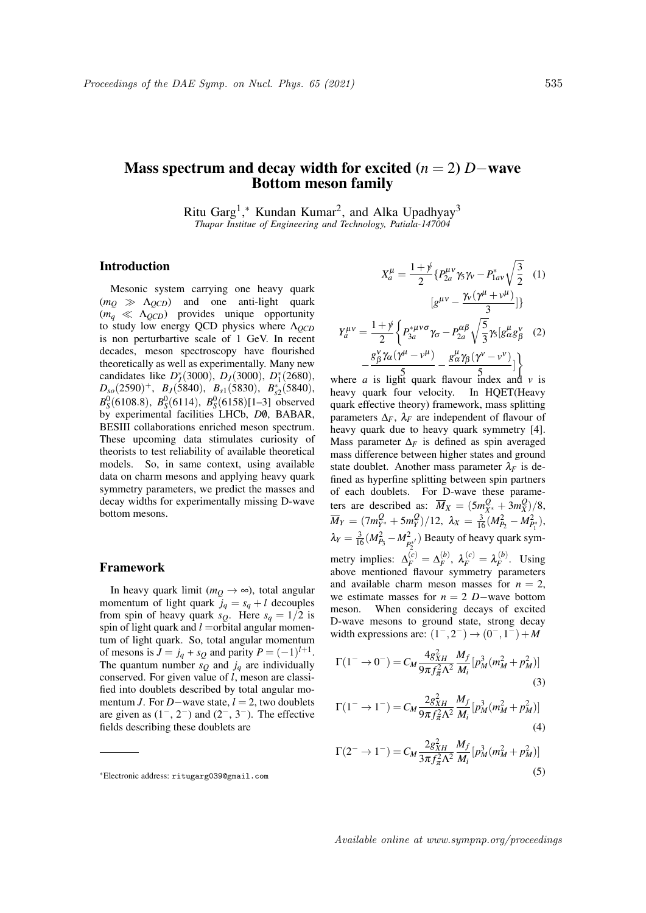# Mass spectrum and decay width for excited (*n* = 2) *D*−wave Bottom meson family

Ritu Garg<sup>1</sup>,\* Kundan Kumar<sup>2</sup>, and Alka Upadhyay<sup>3</sup> *Thapar Institue of Engineering and Technology, Patiala-147004*

### Introduction

Mesonic system carrying one heavy quark  $(m_O \gg \Lambda_{OCD})$  and one anti-light quark  $(m_q \ll \Lambda_{QCD})$  provides unique opportunity to study low energy QCD physics where Λ*QCD* is non perturbartive scale of 1 GeV. In recent decades, meson spectroscopy have flourished theoretically as well as experimentally. Many new candidates like  $D^*_J(3000)$ ,  $D_J(3000)$ ,  $D^*_1(2680)$ , *Dso*(2590) <sup>+</sup>, *B<sup>J</sup>* (5840), *Bs*1(5830), *B* ∗ *s*2 (5840),  $B_S^0(6108.8)$ ,  $B_S^0(6114)$ ,  $B_S^0(6158)[1-3]$  observed by experimental facilities LHCb, *D*/0, BABAR, BESIII collaborations enriched meson spectrum. These upcoming data stimulates curiosity of theorists to test reliability of available theoretical models. So, in same context, using available data on charm mesons and applying heavy quark symmetry parameters, we predict the masses and decay widths for experimentally missing D-wave bottom mesons.

## Framework

In heavy quark limit ( $m_Q \rightarrow \infty$ ), total angular momentum of light quark  $j_q = s_q + l$  decouples from spin of heavy quark  $s_Q$ . Here  $s_q = 1/2$  is spin of light quark and  $l =$ orbital angular momentum of light quark. So, total angular momentum of mesons is  $J = j_q + s_Q$  and parity  $P = (-1)^{l+1}$ . The quantum number  $s_Q$  and  $j_q$  are individually conserved. For given value of *l*, meson are classified into doublets described by total angular momentum *J*. For *D*−wave state, *l* = 2, two doublets are given as  $(1^-, 2^-)$  and  $(2^-, 3^-)$ . The effective fields describing these doublets are

$$
X_a^{\mu} = \frac{1+\dot{\gamma}}{2} \{ P_{2a}^{\mu\nu} \gamma_5 \gamma_\nu - P_{1a\nu}^* \sqrt{\frac{3}{2}} \quad (1)
$$

$$
[g^{\mu\nu} - \frac{\gamma_\nu (\gamma^\mu + \nu^\mu)}{3}] \}
$$

$$
Y_a^{\mu\nu} = \frac{1+\dot{\gamma}}{2} \left\{ P_{3a}^{*\mu\nu\sigma} \gamma_\sigma - P_{2a}^{\alpha\beta} \sqrt{\frac{5}{3}} \gamma_5 [g_{\alpha}^{\mu} g_{\beta}^{\nu} \quad (2)
$$

$$
- \frac{g_{\beta}^{\nu} \gamma_\alpha (\gamma^\mu - \nu^\mu)}{5} - \frac{g_{\alpha}^{\mu} \gamma_\beta (\gamma^\nu - \nu^\nu)}{5} ] \right\}
$$
where *a* is light quark flavour index and *v* is

heavy quark four velocity. In HQET(Heavy quark effective theory) framework, mass splitting parameters  $\Delta_F$ ,  $\lambda_F$  are independent of flavour of heavy quark due to heavy quark symmetry [4]. Mass parameter  $\Delta_F$  is defined as spin averaged mass difference between higher states and ground state doublet. Another mass parameter  $\lambda_F$  is defined as hyperfine splitting between spin partners of each doublets. For D-wave these parameters are described as:  $\overline{M}_X = (5m_{X^*}^Q + 3m_X^Q)/8$ ,  $\overline{M}_Y = (7m_{Y^*}^Q + 5m_Y^Q)/12$ ,  $\lambda_X = \frac{3}{16}(M_{P_2}^2 - M_{P_1^*}^2)$ ,  $\lambda_Y = \frac{3}{16} (M_{P_3}^2 - M_{P_3^*}^2)$  Beauty of heavy quark sym-2 metry implies:  $\Delta_F^{(c)} = \Delta_F^{(b)}$  $\lambda_F^{(b)}, \; \lambda_F^{(c)} = \lambda_F^{(b)}$  $F_F^{(\nu)}$ . Using above mentioned flavour symmetry parameters and available charm meson masses for  $n = 2$ , we estimate masses for *n* = 2 *D*−wave bottom meson. When considering decays of excited D-wave mesons to ground state, strong decay width expressions are:  $(1^-, 2^-) \rightarrow (0^-, 1^-) + M$ 

$$
\Gamma(1^- \to 0^-) = C_M \frac{4g_{XH}^2}{9\pi f_{\pi}^2 \Lambda^2} \frac{M_f}{M_i} [p_M^3 (m_M^2 + p_M^2)]
$$
\n(3)

$$
\Gamma(1^{-} \to 1^{-}) = C_M \frac{2g_{XH}^2}{9\pi f_{\pi}^2 \Lambda^2} \frac{M_f}{M_i} [p_M^3 (m_M^2 + p_M^2)]
$$
\n(4)

$$
\Gamma(2^{-} \to 1^{-}) = C_{M} \frac{2g_{XH}^{2}}{3\pi f_{\pi}^{2} \Lambda^{2}} \frac{M_{f}}{M_{i}} [p_{M}^{3}(m_{M}^{2} + p_{M}^{2})] \tag{5}
$$

<sup>∗</sup>Electronic address: ritugarg039@gmail.com